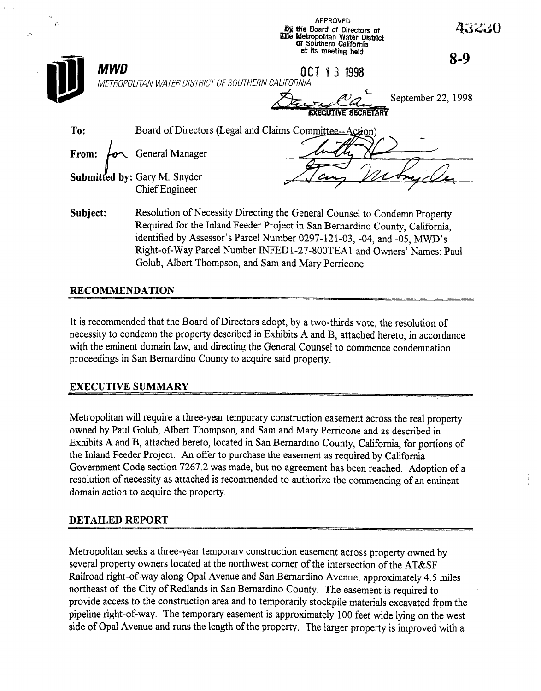

identified by Assessor's Parcel Number 0297-121-03, -04, and -05, MWD's Right-of-Way Parcel Number INFEDl-27-800TEAl and Owners' Names: Paul Golub, Albert Thompson, and Sam and Mary Perricone

# RECOMMENDATION

It is recommended that the Board of Directors adopt, by a two-thirds vote, the resolution of necessity to condemn the property described in Exhibits A and B, attached hereto, in accordance with the eminent domain law, and directing the General Counsel to commence condemnation proceedings in San Bernardino County to acquire said property.

# EXECUTIVE SUMMARY

Metropolitan will require a three-year temporary construction easement across the real property owned by Paul Golub, Albert Thompson, and Sam and Mary Perricone and as described in Exhibits A and B, attached hereto, located in San Bernardino County, California, for portions of the Inland Feeder Project. An offer to purchase the easement as required by California Government Code section 7267.2 was made, but no agreement has been reached. Adoption of a resolution of necessity as attached is recommended to authorize the commencing of an eminent domain action to acquire the property.

## DETAILED REPORT

Metropolitan seeks a three-year temporary construction easement across property owned by several property owners located at the northwest corner of the intersection of the AT&SF Railroad right-of-way along Opal Avenue and San Bernardino Avenue, approximately 4.5 miles northeast of the City of Redlands in San Bernardino County. The easement is required to provide access to the construction area and to temporarily stockpile materials excavated from the pipeline right-of-way. The temporary easement is approximately 100 feet wide lying on the west side of Opal Avenue and runs the length of the property. The iarger property is improved with a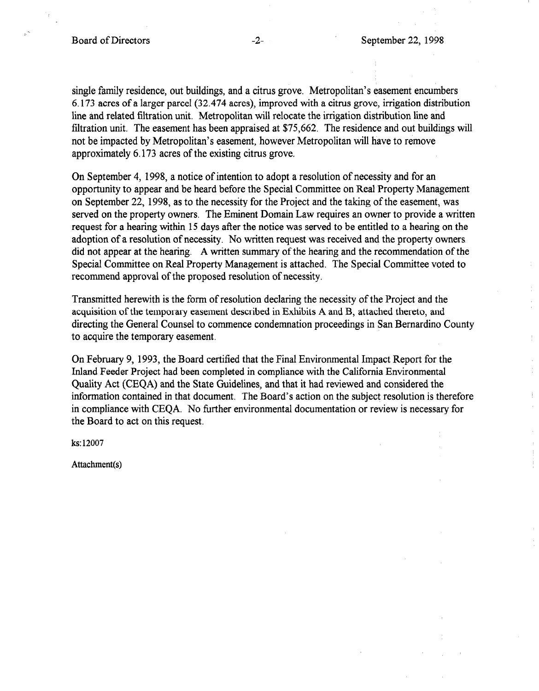single family residence, out buildings, and a citrus grove. Metropolitan's easement encumbers 6.173 acres of a larger parcel (32.474 acres), improved with a citrus grove, irrigation distribution line and related filtration unit. Metropolitan will relocate the irrigation distribution line and filtration unit. The easement has been appraised at \$75,662. The residence and out buildings will not be impacted by Metropolitan's easement, however Metropolitan will have to remove approximately 6.173 acres of the existing citrus grove.

On September 4, 1998, a notice of intention to adopt a resolution of necessity and for an opportunity to appear and be heard before the Special Committee on Real Property Management on September 22, 1998, as to the necessity for the Project and the taking of the easement, was served on the property owners. The Eminent Domain Law requires an owner to provide a written request for a hearing within 15 days after the notice was served to be entitled to a hearing on the adoption of a resolution of necessity, No written request was received and the property owners did not appear at the hearing. A written summary of the hearing and the recommendation of the Special Committee on Real Property Management is attached. The Special Committee voted to recommend approval of the proposed resolution of necessity.

Transmitted herewith is the form of resolution declaring the necessity of the Project and the acquisition of the temporary easement described in Exhibits A and B, attached thereto, and directing the General Counsel to commence condemnation proceedings in San Bernardino County to acquire the temporary easement.

On February 9, 1993, the Board certified that the Final Environmental Impact Report for the Inland Feeder Project had been completed in compliance with the California Environmental Quality Act (CEQA) and the State Guidelines, and that it had reviewed and considered the information contained in that document. The Board's action on the subject resolution is therefore in compliance with CEQA. No further environmental documentation or review is necessary for the Board to act on this request.

ks: 12007

Attachment(s)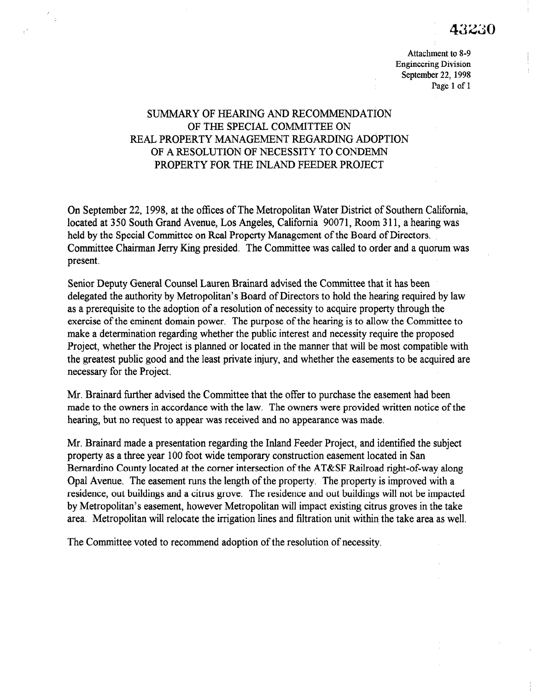Attachment to 8-9 Engineering Division September 22, 1998 Page 1 of 1

# SUMMARY OF HEARING AND RECOMMENDATION OF THE SPECIAL COMMITTEE ON REAL PROPERTY MANAGEMENT REGARDING ADOPTION OF A RESOLUTION OF NECESSITY TO CONDEMN PROPERTY FOR THE INLAND FEEDER PROJECT

 $\bar{\mathbb{R}}$ 

On September 22, 1998, at the offices of The Metropolitan Water District of Southern California, located at 350 South Grand Avenue, Los Angeles, California 90071, Room 311, a hearing was held by the Special Committee on Real Property Management of the Board of Directors. Committee Chairman Jerry Ring presided. The Committee was called to order and a quorum was present.

Senior Deputy General Counsel Lauren Brainard advised the Committee that it has been delegated the authority by Metropolitan's Board of Directors to hold the hearing required by law as a prerequisite to the adoption of a resolution of necessity to acquire property through the exercise of the eminent domain power. The purpose of the hearing is to allow the Committee to make a determination regarding whether the public interest and necessity require the proposed Project, whether the Project is planned or located in the manner that will be most compatible with the greatest public good and the least private injury, and whether the easements to be acquired are necessary for the Project.

Mr. Brainard further advised the Committee that the offer to purchase the easement had been with Dramatu further advised the Committee that the orier to purchase the easement had been made to the owners in accordance with the law. The owners were provided written notice of the hearing, but no request to appear was received and no appearance was made.

Mr. Brainard made a presentation regarding the Inland Feeder Project, and identified the subject  $\mathbf{p}$ . Bramard made a presentation regarding the finand recuer Project, and identified the property as a three year 100 foot wide temporary construction easement located in San Bernardino County located at the corner intersection of the AT&SF Railroad right-of-way along Opal Avenue. The easement runs the length of the property. The property is improved with a residence, out buildings and a citrus grove. The residence and out buildings will not be impacted by Metropolitan's easement, however Metropolitan will impact existing citrus groves in the take area. Metropolitan will relocate the irrigation lines and filtration unit within the take area as well.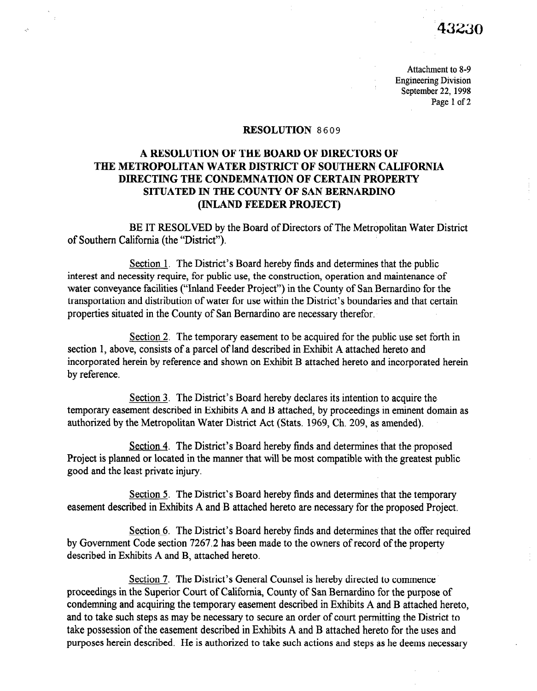# 43230

Attachment to 8-9 Engineering Division September 22, 1998 Page 1 of 2

### RESOLUTION 8609

# A RESOLUTION OF THE BOARD OF DIRECTORS OF THE METROPOLITAN WATER DISTRICT OF SOUTHERN CALIFORNIA DIRECTING THE CONDEMNATION OF CERTAIN PROPERTY SITUATED IN THE COUNTY OF SAN BERNARDINO (INLAND FEEDER PROJECT)

BE IT RESOLVED by the Board of Directors of The Metropolitan Water District of Southern California (the "District").

Section 1. The District's Board hereby finds and determines that the public interest and necessity require, for public use, the construction, operation and maintenance of water conveyance facilities ("Inland Feeder Project") in the County of San Bernardino for the transportation and distribution of water for use within the District's boundaries and that certain properties situated in the County of San Bernardino are necessary therefor.

Section 2. The temporary easement to be acquired for the public use set forth in section 1, above, consists of a parcel of land described in Exhibit A attached hereto and incorporated herein by reference and shown on Exhibit B attached hereto and incorporated herein by reference.

Section 3. The District's Board hereby declares its intention to acquire the  $\frac{\text{Section 3}}{\text{Section 5}}$ . The District s board hereby decides its intention to acquire the temporary easement described in Exhibits A and B attached, by proceedings in eminent domain as authorized by the Metropolitan Water District Act (Stats. 1969, Ch. 209, as amended).

Section 4. The District's Board hereby finds and determines that the proposed <u>Section 4</u>. In e District s Board nereby finds and determines that the proposed Project is planned or located in the manner that will be most compatible with the greatest public good and the least private injury.

Section 5. The District's Board hereby finds and determines that the temporary easement described in Exhibits A and B attached hereto are necessary for the proposed Project.

Section  $6$ . The District's Board hereby finds and determines that the offer required by Government Code section 7267.2 has been made to the owners of record of the property described in Exhibits A and B, attached hereto.

Section 7. The District's General Counsel is hereby directed to commence proceedings in the Superior Court of California, County of San Bernardino for the purpose of condemning and acquiring the temporary easement described in Exhibits A and B attached hereto, and to take such steps as may be necessary to secure an order of court permitting the District to take possession of the easement described in Exhibits A and B attached hereto for the uses and purposes herein described. He is authorized to take such actions and steps as he deems necessary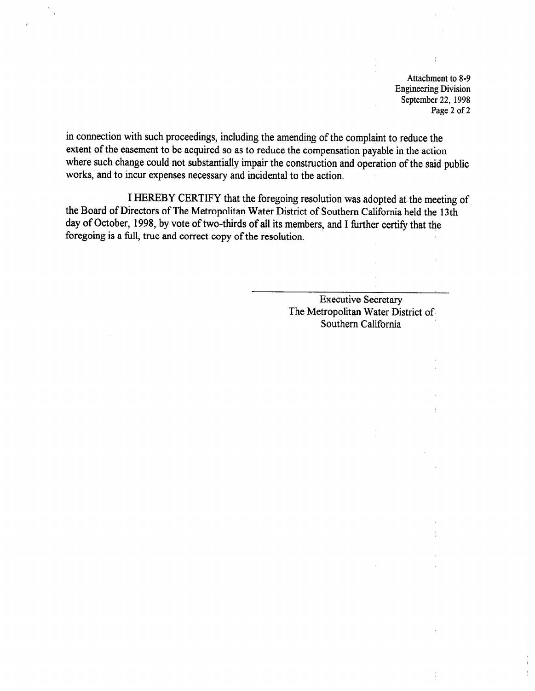Attachment to 8-9 Engineering Division September 22, 1998 Page 2 of 2

in connection with such proceedings, including the amending of the complaint to reduce the extent of the easement to be acquired so as to reduce the compensation payable in the action where such change could not substantially impair the construction and operation of the said public works, and to incur expenses necessary and incidental to the action.

I HEREBY CERTIFY that the foregoing resolution was adopted at the meeting of the Board of Directors of The Metropolitan Water District of Southern California held the 13th day of October, 1998, by vote of two-thirds of all its members, and I further certify that the foregoing is a full, true and correct copy of the resolution.

> Executive Secretary The Metropolitan Water District of Southern California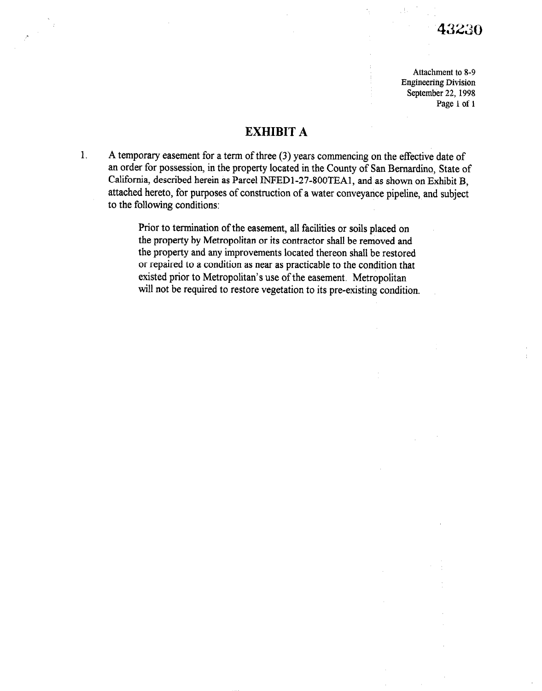Attachment to 8-9 Engineering Division September 22, 1998 Page 1 of 1

# EXHIBIT A

1. A temporary easement for a term of three (3) years commencing on the effective date of an order for possession, in the property located in the County of San Bernardino, State of California, described herein as Parcel INFED1-27-800TEA1, and as shown on Exhibit B, attached hereto, for purposes of construction of a water conveyance pipeline, and subject to the following conditions:

> Prior to termination of the easement, all facilities or soils placed on the property by Metropolitan or its contractor shall be removed and the property and any improvements located thereon shall be restored or repaired to a condition as near as practicable to the condition that existed prior to Metropolitan's use of the easement. Metropolitan will not be required to restore vegetation to its pre-existing condition.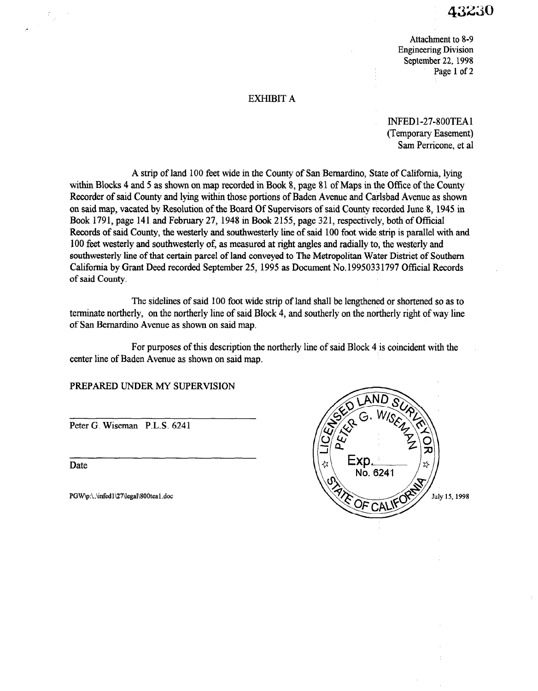Attachment to 8-9 Engineering Division September 22, 1998 Page 1 of 2

### EXHIBIT A

INFEDl-27-SOOTEAl (Temporary Easement) Sam Perricone, et al

A strip of land 100 feet wide in the County of San Bernardino, State of California, lying within Blocks 4 and 5 as shown on map recorded in Book 8, page 81 of Maps in the Office of the County Recorder of said County and lying within those portions of Baden Avenue and Carlsbad Avenue as shown on said map, vacated by Resolution of the Board Of Supervisors of said County recorded June 8, 1945 in Book 1791, page 141 and February 27, 1948 in Book 2155, page 321, respectively, both of Official Records of said County, the westerly and southwesterly line of said 100 foot wide strip is parallel with and 100 feet westerly and southwesterly of, as measured at right angles and radially to, the westerly and southwesterly line of that certain parcel of land conveyed to The Metropolitan Water District of Southern California by Grant Deed recorded September 25, 1995 as Document No. 1995033 1797 Official Records of said County.

The sidelines of said 100 foot wide strip of land shall be lengthened or shortened so as to the statements of said 100 foot wate strip of failure shall be negligible of shortched so as to commate not die  $\mu$ , on the not die  $\mu$  and  $\mu$ 

For purposes of this description the northerly line of said Block 4 is coincident with the center line of Baden Avenue as shown on said map.

PREPARED UNDER MY SUPERVISION

Peter G. Wiseman P.L.S. 6241

Date Date

 $\mathbb{R}^{d-1}$ 

PGW\p:\.\infed1\27\legal\800tea1.doc